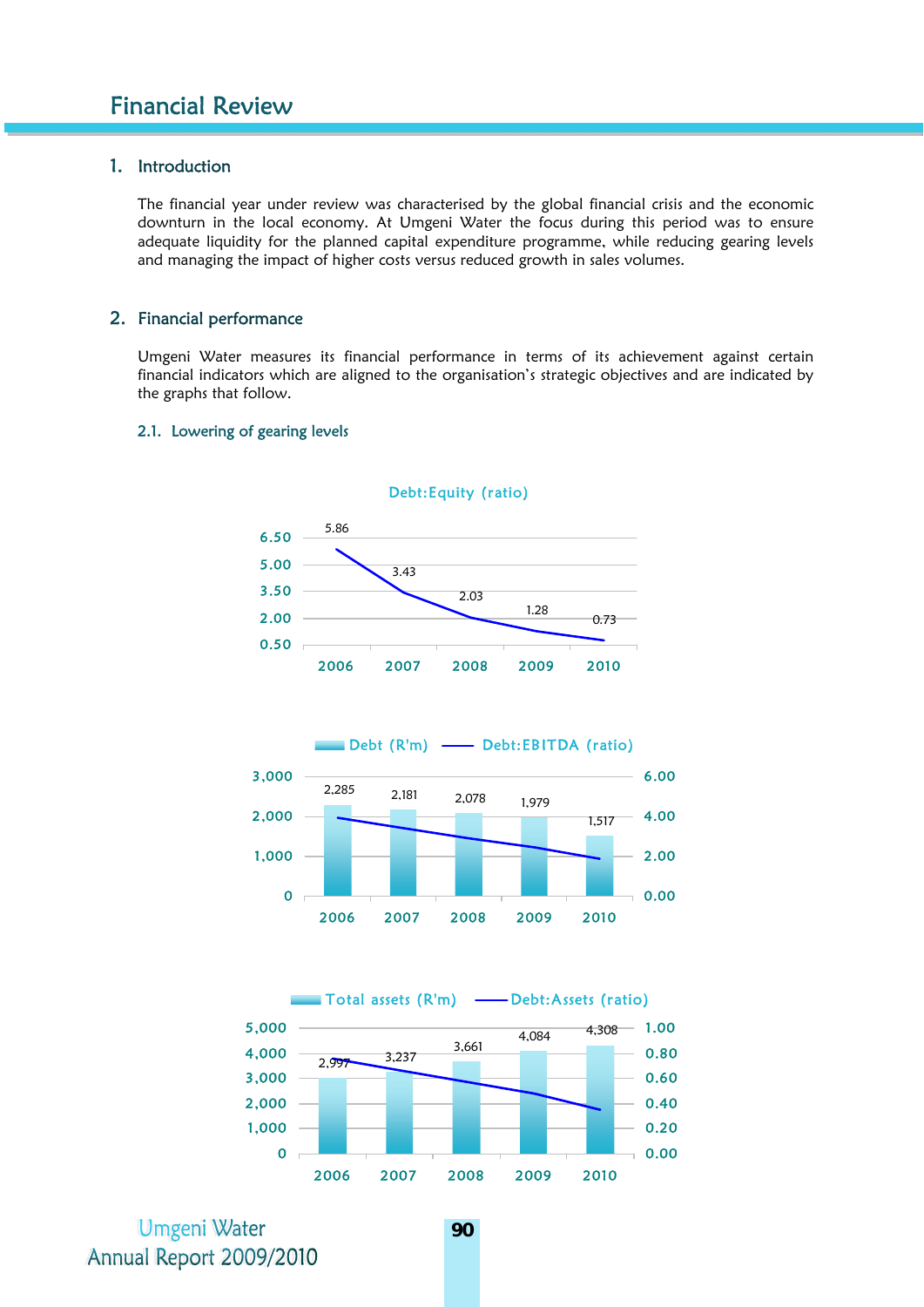# 1. Introduction

The financial year under review was characterised by the global financial crisis and the economic downturn in the local economy. At Umgeni Water the focus during this period was to ensure adequate liquidity for the planned capital expenditure programme, while reducing gearing levels and managing the impact of higher costs versus reduced growth in sales volumes.

#### 2. Financial performance

Umgeni Water measures its financial performance in terms of its achievement against certain financial indicators which are aligned to the organisation's strategic objectives and are indicated by the graphs that follow.

2.1. Lowering of gearing levels



Debt:Equity (ratio)



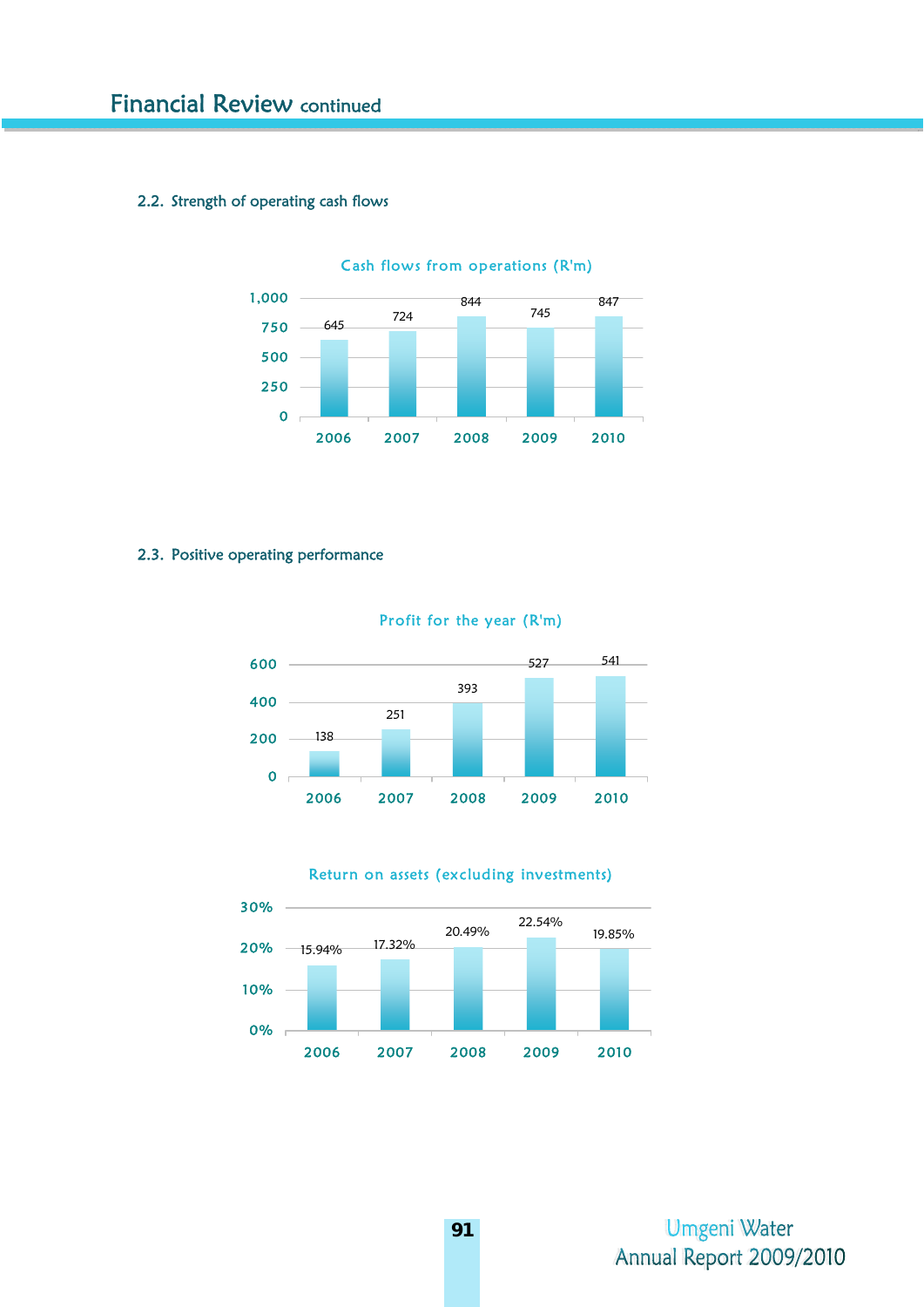# 2.2. Strength of operating cash flows



Cash flows from operations (R'm)

## 2.3. Positive operating performance



Profit for the year (R'm)



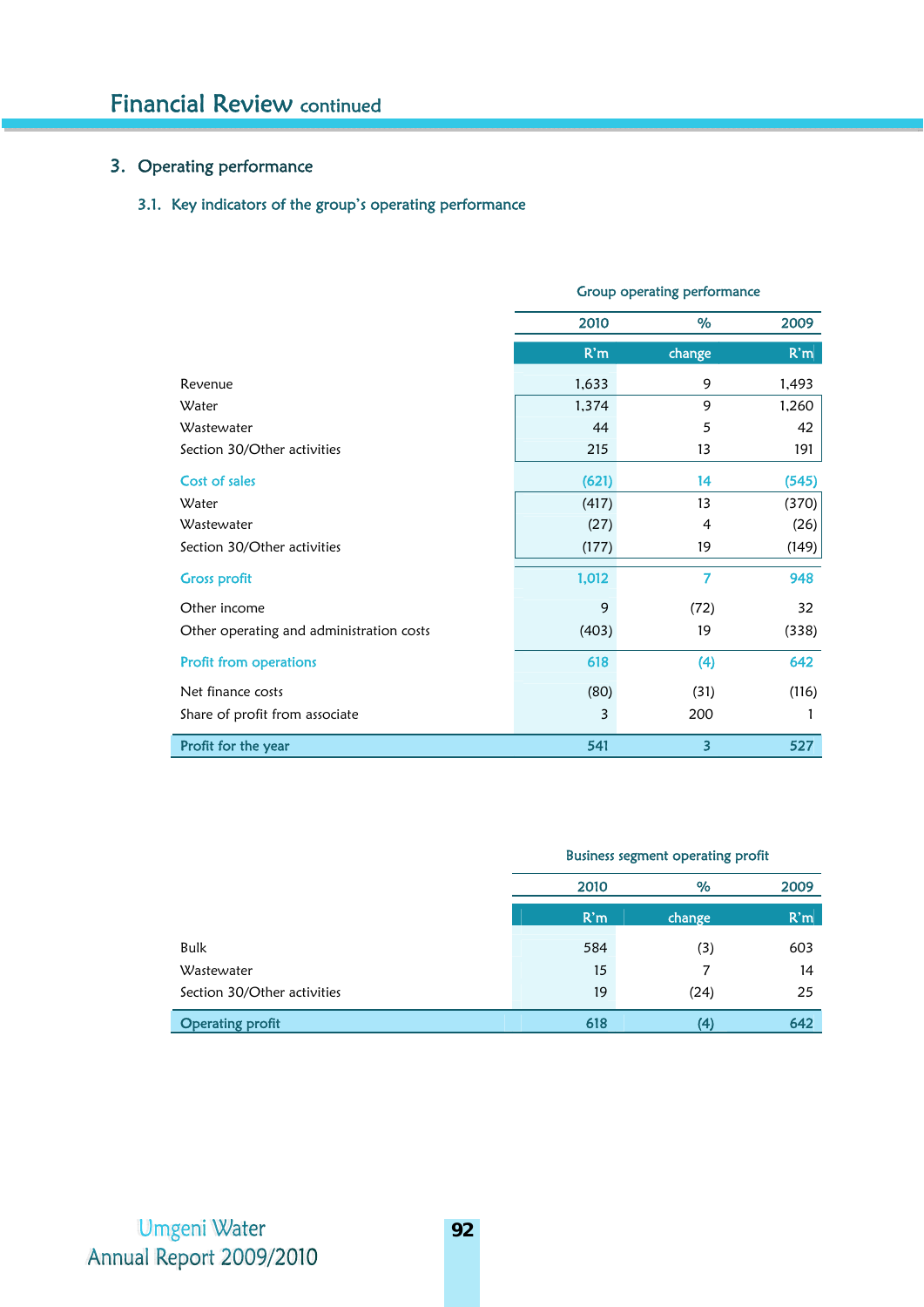# 3. Operating performance

# 3.1. Key indicators of the group's operating performance

|                                          | Stoup operating performance |                |       |  |  |
|------------------------------------------|-----------------------------|----------------|-------|--|--|
|                                          | 2010                        | %              | 2009  |  |  |
|                                          | R'm                         | change         | R'm   |  |  |
| Revenue                                  | 1,633                       | 9              | 1,493 |  |  |
| Water                                    | 1,374                       | 9              | 1,260 |  |  |
| Wastewater                               | 44                          | 5              | 42    |  |  |
| Section 30/Other activities              | 215                         | 13             | 191   |  |  |
| Cost of sales                            | (621)                       | 14             | (545) |  |  |
| Water                                    | (417)                       | 13             | (370) |  |  |
| Wastewater                               | (27)                        | $\overline{4}$ | (26)  |  |  |
| Section 30/Other activities              | (177)                       | 19             | (149) |  |  |
| <b>Gross profit</b>                      | 1,012                       | $\overline{7}$ | 948   |  |  |
| Other income                             | 9                           | (72)           | 32    |  |  |
| Other operating and administration costs | (403)                       | 19             | (338) |  |  |
| <b>Profit from operations</b>            | 618                         | (4)            | 642   |  |  |
| Net finance costs                        | (80)                        | (31)           | (116) |  |  |
| Share of profit from associate           | 3                           | 200            | 1     |  |  |
| Profit for the year                      | 541                         | 3              | 527   |  |  |

#### Group operating performance

## Business segment operating profit

|                             | 2010 | %      | 2009            |
|-----------------------------|------|--------|-----------------|
|                             | R'm  | change | R <sup>th</sup> |
| Bulk                        | 584  | (3)    | 603             |
| Wastewater                  | 15   |        | 14              |
| Section 30/Other activities | 19   | (24)   | 25              |
| <b>Operating profit</b>     | 618  |        | 642             |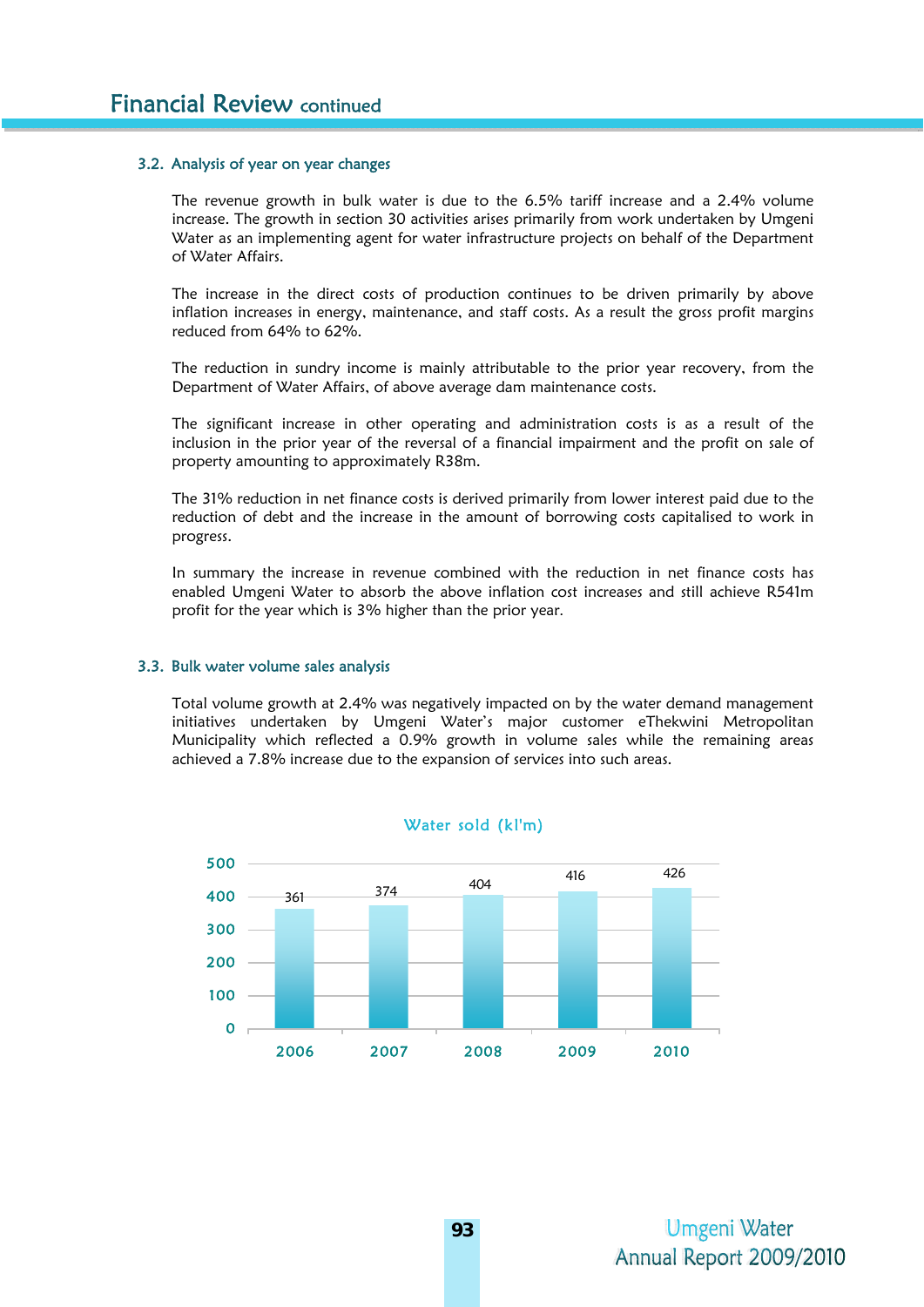#### 3.2. Analysis of year on year changes

The revenue growth in bulk water is due to the 6.5% tariff increase and a 2.4% volume increase. The growth in section 30 activities arises primarily from work undertaken by Umgeni Water as an implementing agent for water infrastructure projects on behalf of the Department of Water Affairs.

The increase in the direct costs of production continues to be driven primarily by above inflation increases in energy, maintenance, and staff costs. As a result the gross profit margins reduced from 64% to 62%.

The reduction in sundry income is mainly attributable to the prior year recovery, from the Department of Water Affairs, of above average dam maintenance costs.

The significant increase in other operating and administration costs is as a result of the inclusion in the prior year of the reversal of a financial impairment and the profit on sale of property amounting to approximately R38m.

The 31% reduction in net finance costs is derived primarily from lower interest paid due to the reduction of debt and the increase in the amount of borrowing costs capitalised to work in progress.

In summary the increase in revenue combined with the reduction in net finance costs has enabled Umgeni Water to absorb the above inflation cost increases and still achieve R541m profit for the year which is 3% higher than the prior year.

#### 3.3. Bulk water volume sales analysis

Total volume growth at 2.4% was negatively impacted on by the water demand management initiatives undertaken by Umgeni Water's major customer eThekwini Metropolitan Municipality which reflected a 0.9% growth in volume sales while the remaining areas achieved a 7.8% increase due to the expansion of services into such areas.

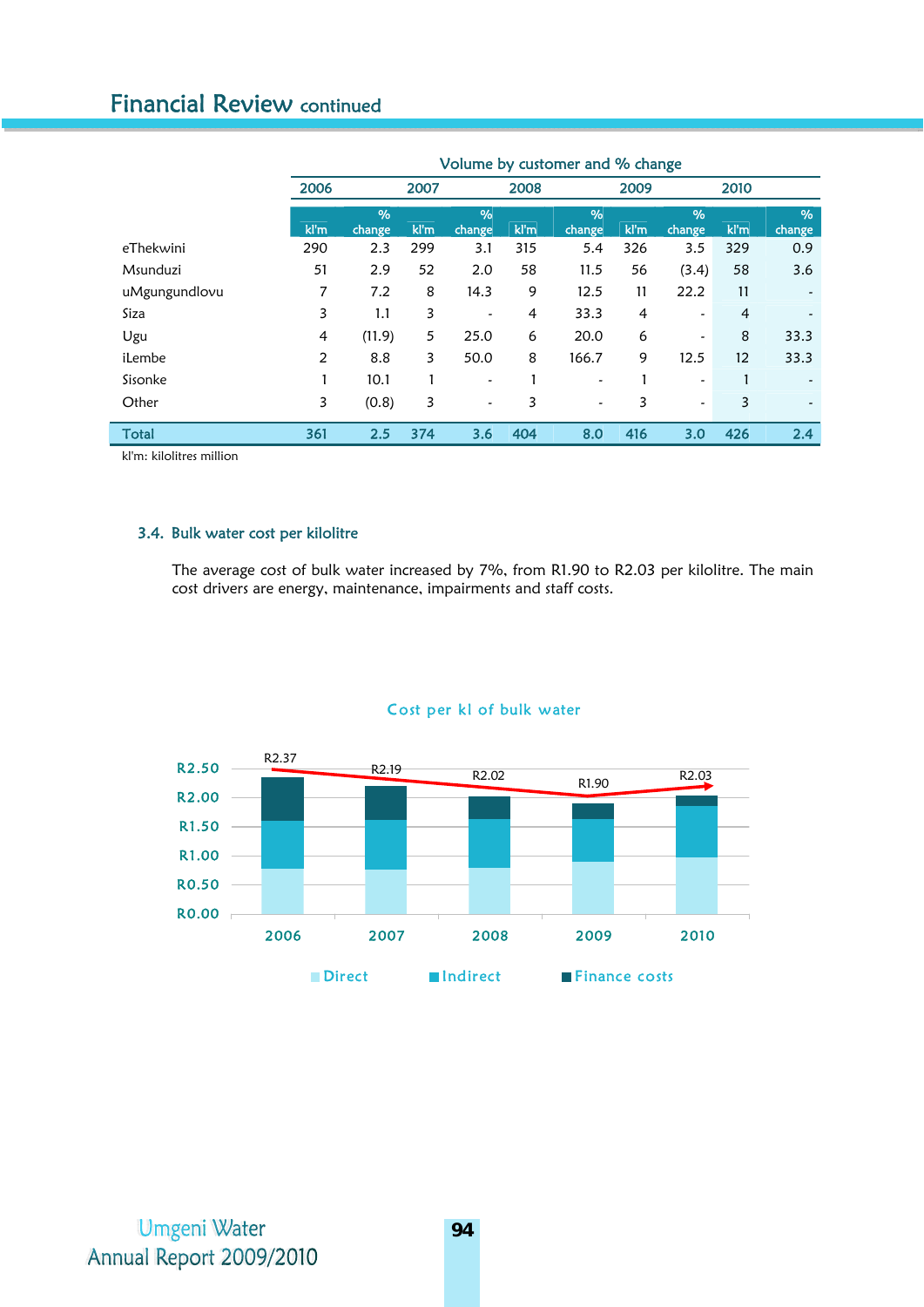# Financial Review continued

|               | Volume by customer and % change |                         |      |                         |      |                       |                |                         |                |                          |
|---------------|---------------------------------|-------------------------|------|-------------------------|------|-----------------------|----------------|-------------------------|----------------|--------------------------|
|               | 2006                            |                         | 2007 |                         | 2008 |                       | 2009           |                         | 2010           |                          |
|               | kl'm                            | $\frac{9}{6}$<br>change | kl'm | $\frac{9}{6}$<br>change | kl'm | $\%$<br>change        | kl'm           | $\frac{9}{6}$<br>change | kl'm           | $\%$<br>change           |
| eThekwini     | 290                             | 2.3                     | 299  | 3.1                     | 315  | 5.4                   | 326            | 3.5                     | 329            | 0.9                      |
| Msunduzi      | 51                              | 2.9                     | 52   | 2.0                     | 58   | 11.5                  | 56             | (3.4)                   | 58             | 3.6                      |
| uMgungundlovu | 7                               | 7.2                     | 8    | 14.3                    | 9    | 12.5                  | 11             | 22.2                    | 11             |                          |
| Siza          | 3                               | 1.1                     | 3    | $\tilde{\phantom{a}}$   | 4    | 33.3                  | $\overline{4}$ | $\tilde{\phantom{a}}$   | $\overline{4}$ |                          |
| Ugu           | 4                               | (11.9)                  | 5    | 25.0                    | 6    | 20.0                  | 6              | $\tilde{\phantom{a}}$   | 8              | 33.3                     |
| iLembe        | 2                               | 8.8                     | 3    | 50.0                    | 8    | 166.7                 | 9              | 12.5                    | 12             | 33.3                     |
| Sisonke       | 1                               | 10.1                    |      | $\tilde{\phantom{a}}$   | 1    | $\overline{a}$        |                | $\tilde{\phantom{a}}$   | 1              |                          |
| Other         | 3                               | (0.8)                   | 3    | $\tilde{\phantom{a}}$   | 3    | $\tilde{\phantom{a}}$ | 3              | $\tilde{\phantom{a}}$   | 3              | $\overline{\phantom{a}}$ |
| <b>Total</b>  | 361                             | 2.5                     | 374  | 3.6                     | 404  | 8.0                   | 416            | 3.0                     | 426            | 2.4                      |

kl'm: kilolitres million

ľ

## 3.4. Bulk water cost per kilolitre

The average cost of bulk water increased by 7%, from R1.90 to R2.03 per kilolitre. The main cost drivers are energy, maintenance, impairments and staff costs.



## Cost per kl of bulk water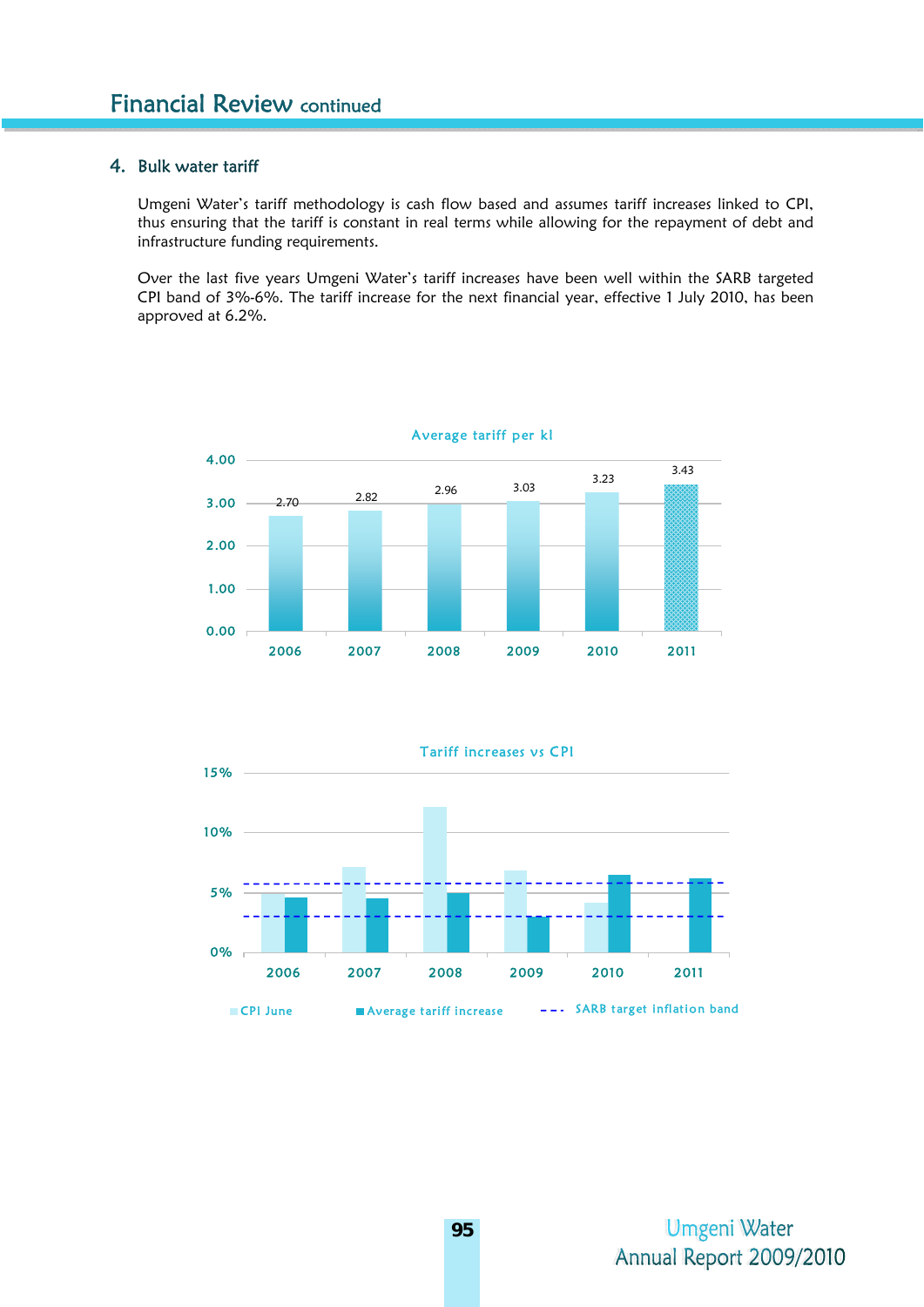# 4. Bulk water tariff

Umgeni Water's tariff methodology is cash flow based and assumes tariff increases linked to CPI, thus ensuring that the tariff is constant in real terms while allowing for the repayment of debt and infrastructure funding requirements.

Over the last five years Umgeni Water's tariff increases have been well within the SARB targeted CPI band of 3%-6%. The tariff increase for the next financial year, effective 1 July 2010, has been approved at 6.2%.



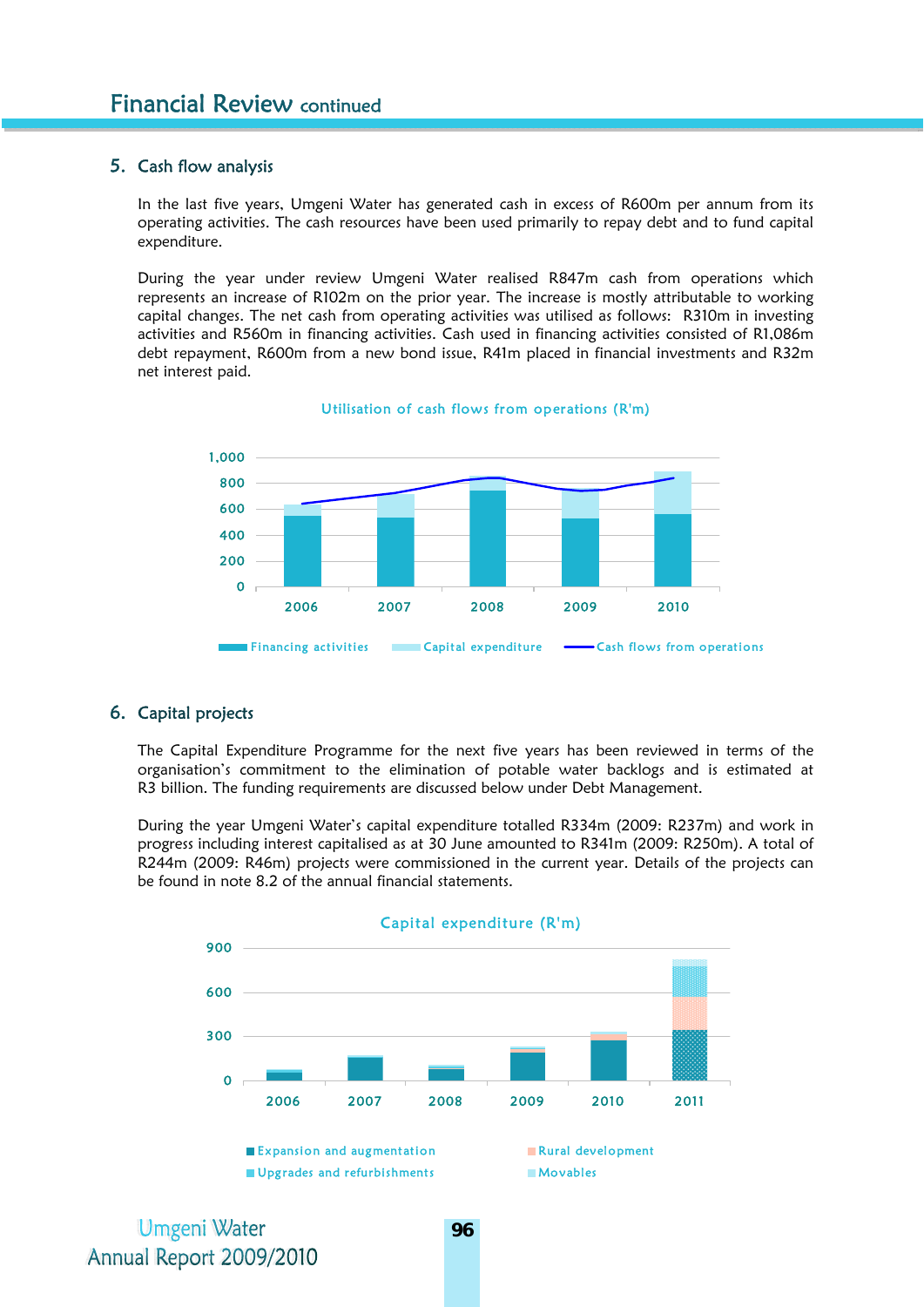# 5. Cash flow analysis

In the last five years, Umgeni Water has generated cash in excess of R600m per annum from its operating activities. The cash resources have been used primarily to repay debt and to fund capital expenditure.

During the year under review Umgeni Water realised R847m cash from operations which represents an increase of R102m on the prior year. The increase is mostly attributable to working capital changes. The net cash from operating activities was utilised as follows: R310m in investing activities and R560m in financing activities. Cash used in financing activities consisted of R1,086m debt repayment, R600m from a new bond issue, R41m placed in financial investments and R32m net interest paid.



#### Utilisation of cash flows from operations (R'm)

# 6. Capital projects

The Capital Expenditure Programme for the next five years has been reviewed in terms of the organisation's commitment to the elimination of potable water backlogs and is estimated at R3 billion. The funding requirements are discussed below under Debt Management.

During the year Umgeni Water's capital expenditure totalled R334m (2009: R237m) and work in progress including interest capitalised as at 30 June amounted to R341m (2009: R250m). A total of R244m (2009: R46m) projects were commissioned in the current year. Details of the projects can be found in note 8.2 of the annual financial statements.

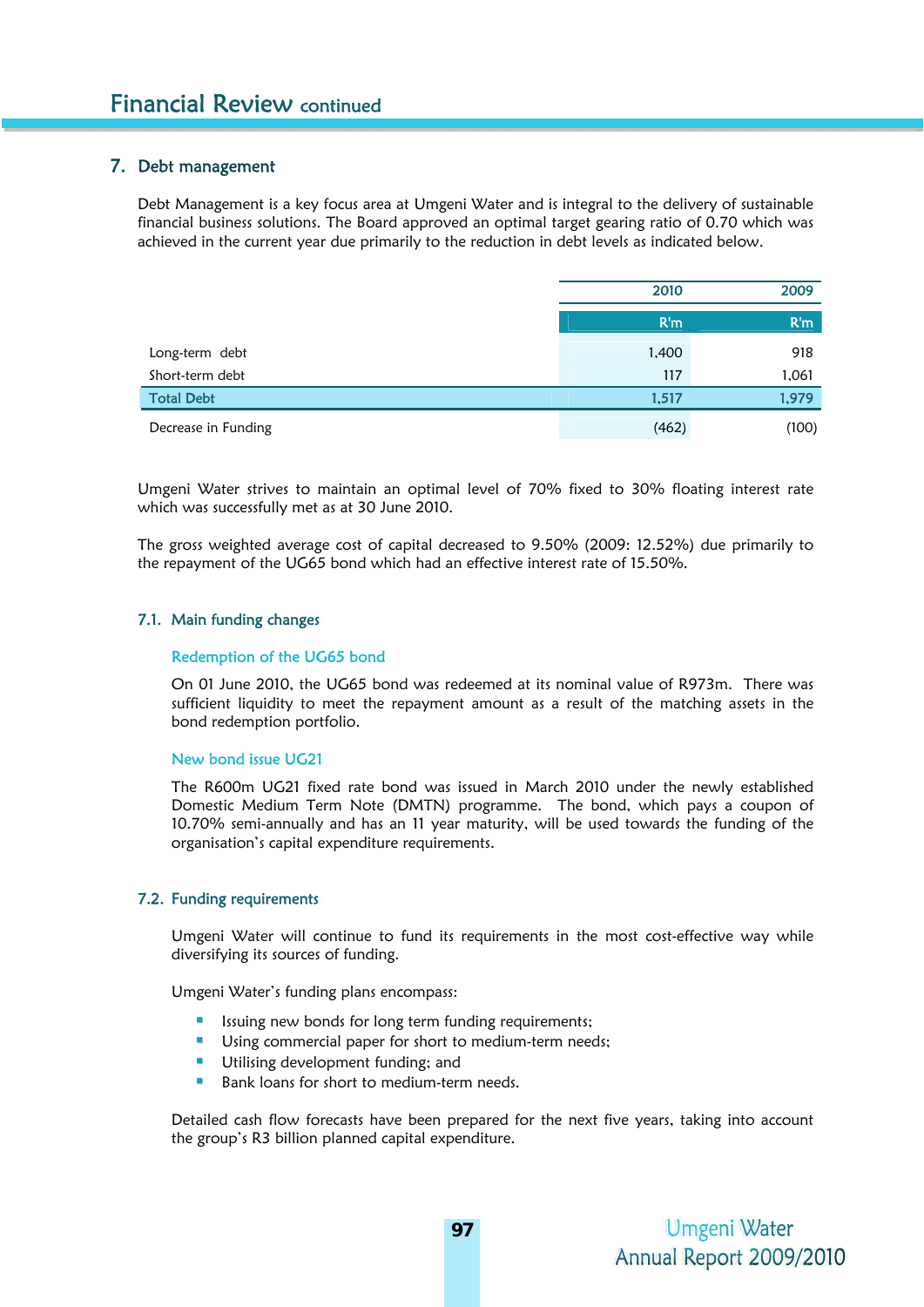# 7. Debt management

Debt Management is a key focus area at Umgeni Water and is integral to the delivery of sustainable financial business solutions. The Board approved an optimal target gearing ratio of 0.70 which was achieved in the current year due primarily to the reduction in debt levels as indicated below.

|                     | 2010  | 2009  |
|---------------------|-------|-------|
|                     | R'm   | R'm   |
| Long-term debt      | 1,400 | 918   |
| Short-term debt     | 117   | 1,061 |
| <b>Total Debt</b>   | 1,517 | 1,979 |
| Decrease in Funding | (462) | (100) |

Umgeni Water strives to maintain an optimal level of 70% fixed to 30% floating interest rate which was successfully met as at 30 June 2010.

The gross weighted average cost of capital decreased to 9.50% (2009: 12.52%) due primarily to the repayment of the UG65 bond which had an effective interest rate of 15.50%.

#### 7.1. Main funding changes

#### Redemption of the UG65 bond

On 01 June 2010, the UG65 bond was redeemed at its nominal value of R973m. There was sufficient liquidity to meet the repayment amount as a result of the matching assets in the bond redemption portfolio.

#### New bond issue UG21

The R600m UG21 fixed rate bond was issued in March 2010 under the newly established Domestic Medium Term Note (DMTN) programme. The bond, which pays a coupon of 10.70% semi-annually and has an 11 year maturity, will be used towards the funding of the organisation's capital expenditure requirements.

#### 7.2. Funding requirements

Umgeni Water will continue to fund its requirements in the most cost-effective way while diversifying its sources of funding.

Umgeni Water's funding plans encompass:

- Issuing new bonds for long term funding requirements;
- Using commercial paper for short to medium-term needs;
- **Utilising development funding; and**
- Bank loans for short to medium-term needs.

Detailed cash flow forecasts have been prepared for the next five years, taking into account the group's R3 billion planned capital expenditure.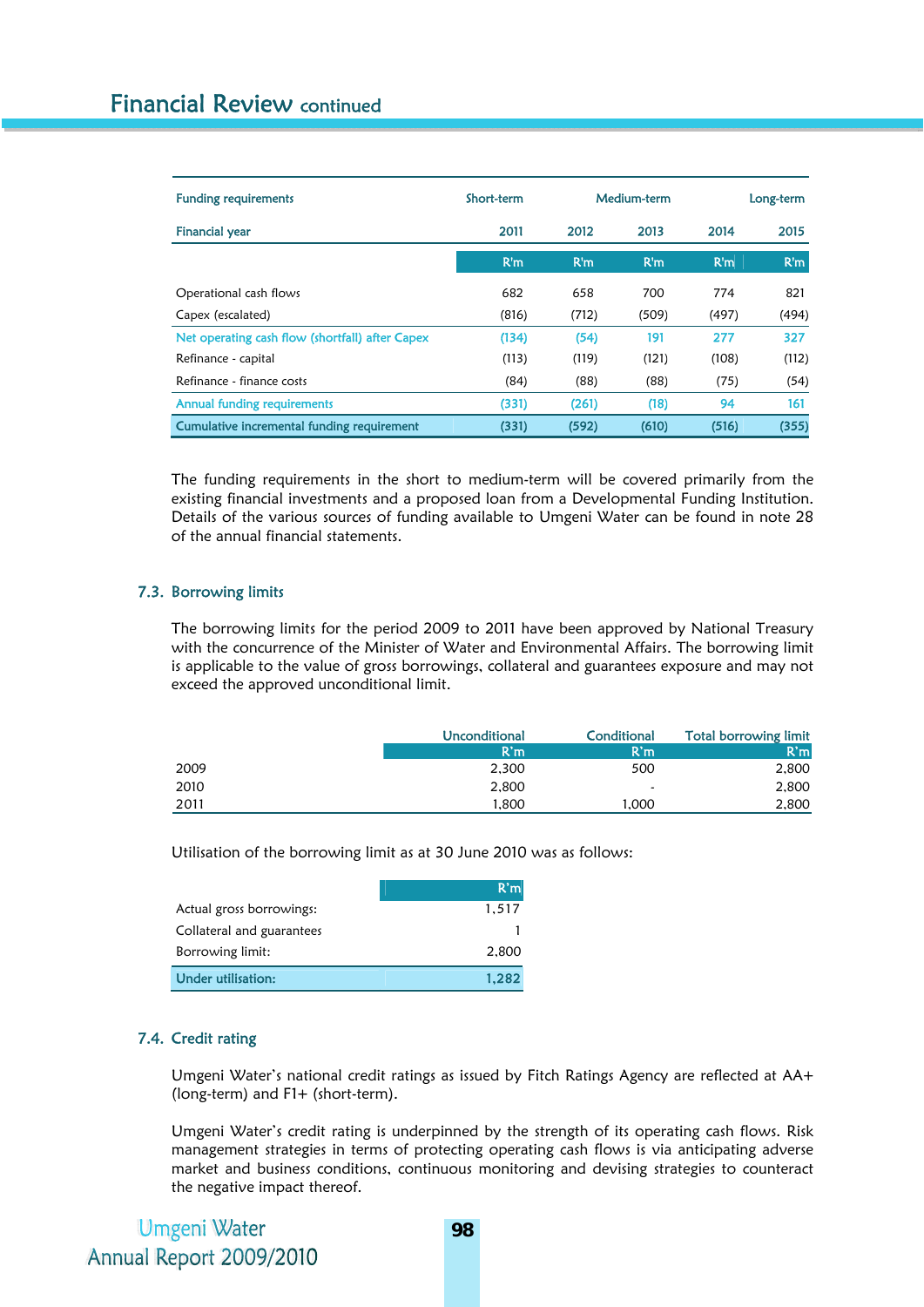| <b>Funding requirements</b>                     | Short-term |       | Medium-term |       | Long-term |
|-------------------------------------------------|------------|-------|-------------|-------|-----------|
| <b>Financial year</b>                           | 2011       | 2012  | 2013        | 2014  | 2015      |
|                                                 | R'm        | R'm   | R'm         | R'm   | R'm       |
| Operational cash flows                          | 682        | 658   | 700         | 774   | 821       |
| Capex (escalated)                               | (816)      | (712) | (509)       | (497) | (494)     |
| Net operating cash flow (shortfall) after Capex | (134)      | (54)  | 191         | 277   | 327       |
| Refinance - capital                             | (113)      | (119) | (121)       | (108) | (112)     |
| Refinance - finance costs                       | (84)       | (88)  | (88)        | (75)  | (54)      |
| <b>Annual funding requirements</b>              | (331)      | (261) | (18)        | 94    | 161       |
| Cumulative incremental funding requirement      | (331)      | (592) | (610)       | (516) | (355)     |

The funding requirements in the short to medium-term will be covered primarily from the existing financial investments and a proposed loan from a Developmental Funding Institution. Details of the various sources of funding available to Umgeni Water can be found in note 28 of the annual financial statements.

## 7.3. Borrowing limits

The borrowing limits for the period 2009 to 2011 have been approved by National Treasury with the concurrence of the Minister of Water and Environmental Affairs. The borrowing limit is applicable to the value of gross borrowings, collateral and guarantees exposure and may not exceed the approved unconditional limit.

|      | Unconditional | Conditional | Total borrowing limit |
|------|---------------|-------------|-----------------------|
|      | R'm           | R'm         | R'm                   |
| 2009 | 2.300         | 500         | 2,800                 |
| 2010 | 2,800         | -           | 2,800                 |
| 2011 | 1.800         | 1.000       | 2.800                 |

Utilisation of the borrowing limit as at 30 June 2010 was as follows:

|                           | R'm   |
|---------------------------|-------|
| Actual gross borrowings:  | 1.517 |
| Collateral and guarantees |       |
| Borrowing limit:          | 2,800 |
| Under utilisation:        | 1.282 |

# 7.4. Credit rating

Umgeni Water's national credit ratings as issued by Fitch Ratings Agency are reflected at AA+ (long-term) and F1+ (short-term).

Umgeni Water's credit rating is underpinned by the strength of its operating cash flows. Risk management strategies in terms of protecting operating cash flows is via anticipating adverse market and business conditions, continuous monitoring and devising strategies to counteract the negative impact thereof.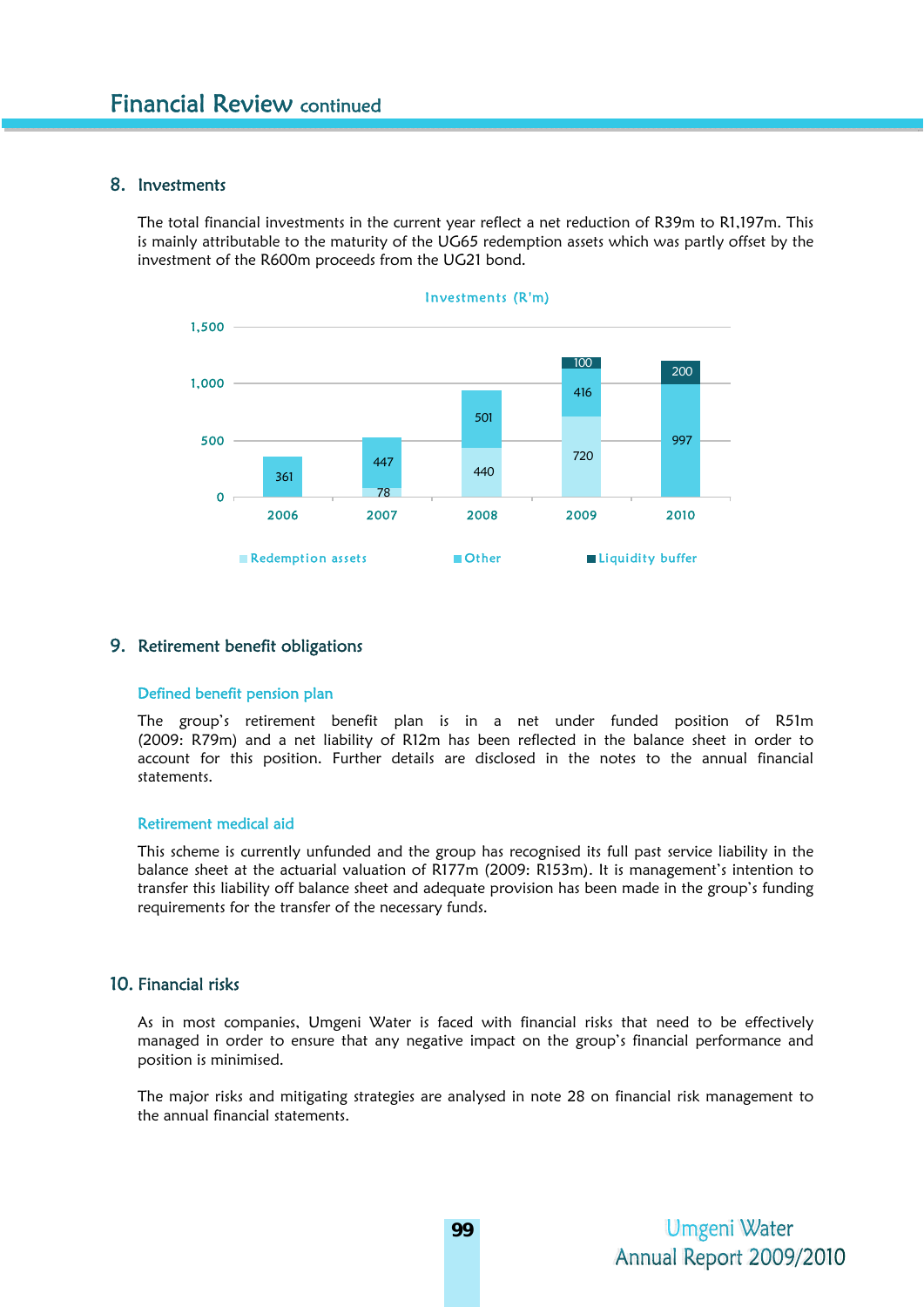# 8. Investments

The total financial investments in the current year reflect a net reduction of R39m to R1,197m. This is mainly attributable to the maturity of the UG65 redemption assets which was partly offset by the investment of the R600m proceeds from the UG21 bond.



# 9. Retirement benefit obligations

# Defined benefit pension plan

The group's retirement benefit plan is in a net under funded position of R51m (2009: R79m) and a net liability of R12m has been reflected in the balance sheet in order to account for this position. Further details are disclosed in the notes to the annual financial statements.

#### Retirement medical aid

This scheme is currently unfunded and the group has recognised its full past service liability in the balance sheet at the actuarial valuation of R177m (2009: R153m). It is management's intention to transfer this liability off balance sheet and adequate provision has been made in the group's funding requirements for the transfer of the necessary funds.

# 10. Financial risks

As in most companies, Umgeni Water is faced with financial risks that need to be effectively managed in order to ensure that any negative impact on the group's financial performance and position is minimised.

The major risks and mitigating strategies are analysed in note 28 on financial risk management to the annual financial statements.